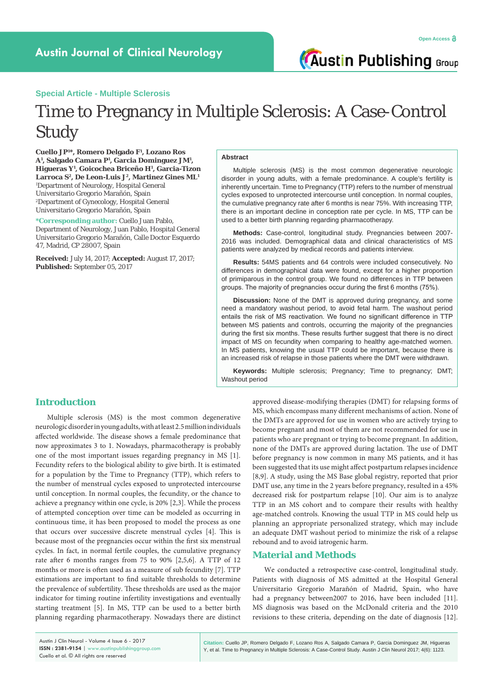**Austin Publishing Group** 

#### **Special Article - Multiple Sclerosis**

# Time to Pregnancy in Multiple Sclerosis: A Case-Control Study

**Cuello JP1 \*, Romero Delgado F1 , Lozano Ros A1 , Salgado Camara P1 , Garcia Dominguez JM1 , Higueras Y1 , Goicochea Briceño H1 , Garcia-Tizon**  Larroca S<sup>2</sup>, De Leon-Luis J<sup>2</sup>, Martinez Gines ML<sup>1</sup> 1 Department of Neurology, Hospital General Universitario Gregorio Marañón, Spain 2 Department of Gynecology, Hospital General Universitario Gregorio Marañón, Spain

**\*Corresponding author:** Cuello Juan Pablo, Department of Neurology, Juan Pablo, Hospital General Universitario Gregorio Marañón, Calle Doctor Esquerdo 47, Madrid, CP 28007, Spain

**Received:** July 14, 2017; **Accepted:** August 17, 2017; **Published:** September 05, 2017

#### **Abstract**

Multiple sclerosis (MS) is the most common degenerative neurologic disorder in young adults, with a female predominance. A couple's fertility is inherently uncertain. Time to Pregnancy (TTP) refers to the number of menstrual cycles exposed to unprotected intercourse until conception. In normal couples, the cumulative pregnancy rate after 6 months is near 75%. With increasing TTP, there is an important decline in conception rate per cycle. In MS, TTP can be used to a better birth planning regarding pharmacotherapy.

**Methods:** Case-control, longitudinal study. Pregnancies between 2007- 2016 was included. Demographical data and clinical characteristics of MS patients were analyzed by medical records and patients interview.

**Results:** 54MS patients and 64 controls were included consecutively. No differences in demographical data were found, except for a higher proportion of primiparous in the control group. We found no differences in TTP between groups. The majority of pregnancies occur during the first 6 months (75%).

**Discussion:** None of the DMT is approved during pregnancy, and some need a mandatory washout period, to avoid fetal harm. The washout period entails the risk of MS reactivation. We found no significant difference in TTP between MS patients and controls, occurring the majority of the pregnancies during the first six months. These results further suggest that there is no direct impact of MS on fecundity when comparing to healthy age-matched women. In MS patients, knowing the usual TTP could be important, because there is an increased risk of relapse in those patients where the DMT were withdrawn.

**Keywords:** Multiple sclerosis; Pregnancy; Time to pregnancy; DMT; Washout period

# **Introduction**

Multiple sclerosis (MS) is the most common degenerative neurologic disorder in young adults, with at least 2.5 million individuals affected worldwide. The disease shows a female predominance that now approximates 3 to 1. Nowadays, pharmacotherapy is probably one of the most important issues regarding pregnancy in MS [1]. Fecundity refers to the biological ability to give birth. It is estimated for a population by the Time to Pregnancy (TTP), which refers to the number of menstrual cycles exposed to unprotected intercourse until conception. In normal couples, the fecundity, or the chance to achieve a pregnancy within one cycle, is 20% [2,3]. While the process of attempted conception over time can be modeled as occurring in continuous time, it has been proposed to model the process as one that occurs over successive discrete menstrual cycles [4]. This is because most of the pregnancies occur within the first six menstrual cycles. In fact, in normal fertile couples, the cumulative pregnancy rate after 6 months ranges from 75 to 90% [2,5,6]. A TTP of 12 months or more is often used as a measure of sub fecundity [7]. TTP estimations are important to find suitable thresholds to determine the prevalence of subfertility. These thresholds are used as the major indicator for timing routine infertility investigations and eventually starting treatment [5]. In MS, TTP can be used to a better birth planning regarding pharmacotherapy. Nowadays there are distinct

approved disease-modifying therapies (DMT) for relapsing forms of MS, which encompass many different mechanisms of action. None of the DMTs are approved for use in women who are actively trying to become pregnant and most of them are not recommended for use in patients who are pregnant or trying to become pregnant. In addition, none of the DMTs are approved during lactation. The use of DMT before pregnancy is now common in many MS patients, and it has been suggested that its use might affect postpartum relapses incidence [8,9]. A study, using the MS Base global registry, reported that prior DMT use, any time in the 2 years before pregnancy, resulted in a 45% decreased risk for postpartum relapse [10]. Our aim is to analyze TTP in an MS cohort and to compare their results with healthy age-matched controls. Knowing the usual TTP in MS could help us planning an appropriate personalized strategy, which may include an adequate DMT washout period to minimize the risk of a relapse rebound and to avoid iatrogenic harm.

# **Material and Methods**

We conducted a retrospective case-control, longitudinal study. Patients with diagnosis of MS admitted at the Hospital General Universitario Gregorio Marañón of Madrid, Spain, who have had a pregnancy between2007 to 2016, have been included [11]. MS diagnosis was based on the McDonald criteria and the 2010 revisions to these criteria, depending on the date of diagnosis [12].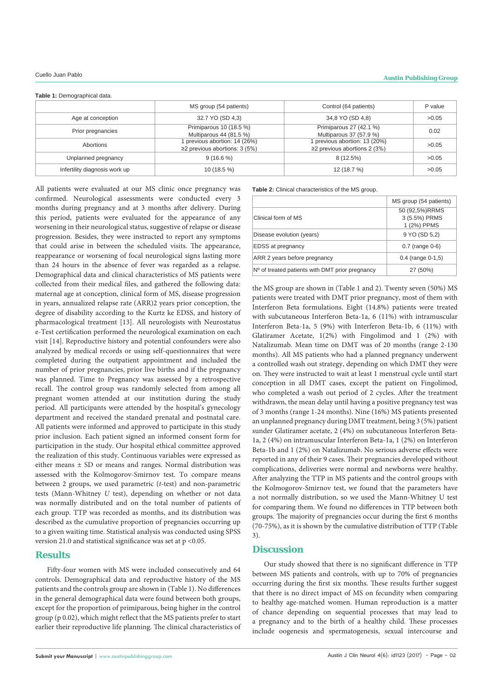**Table 1:** Demographical data.

|                               | MS group (54 patients)              | Control (64 patients)              | P value |
|-------------------------------|-------------------------------------|------------------------------------|---------|
| Age at conception             | 32.7 YO (SD 4.3)                    | 34,8 YO (SD 4,8)                   | >0.05   |
| Prior pregnancies             | Primiparous 10 (18.5 %)             | Primiparous 27 (42.1 %)            | 0.02    |
|                               | Multiparous 44 (81.5 %)             | Multiparous 37 (57.9 %)            |         |
| Abortions                     | previous abortion: 14 (26%)         | previous abortion: 13 (20%)        | >0.05   |
|                               | $\geq$ 2 previous abortions: 3 (5%) | $\geq$ 2 previous abortions 2 (3%) |         |
| Unplanned pregnancy           | $9(16.6\%)$                         | 8 (12.5%)                          | >0.05   |
| Infertility diagnosis work up | $10(18.5\%)$                        | 12 (18.7 %)                        | >0.05   |

All patients were evaluated at our MS clinic once pregnancy was confirmed. Neurological assessments were conducted every 3 months during pregnancy and at 3 months after delivery. During this period, patients were evaluated for the appearance of any worsening in their neurological status, suggestive of relapse or disease progression. Besides, they were instructed to report any symptoms that could arise in between the scheduled visits. The appearance, reappearance or worsening of focal neurological signs lasting more than 24 hours in the absence of fever was regarded as a relapse. Demographical data and clinical characteristics of MS patients were collected from their medical files, and gathered the following data: maternal age at conception, clinical form of MS, disease progression in years, annualized relapse rate (ARR)2 years prior conception, the degree of disability according to the Kurtz ke EDSS, and history of pharmacological treatment [13]. All neurologists with Neurostatus e-Test certification performed the neurological examination on each visit [14]. Reproductive history and potential confounders were also analyzed by medical records or using self-questionnaires that were completed during the outpatient appointment and included the number of prior pregnancies, prior live births and if the pregnancy was planned. Time to Pregnancy was assessed by a retrospective recall. The control group was randomly selected from among all pregnant women attended at our institution during the study period. All participants were attended by the hospital's gynecology department and received the standard prenatal and postnatal care. All patients were informed and approved to participate in this study prior inclusion. Each patient signed an informed consent form for participation in the study. Our hospital ethical committee approved the realization of this study. Continuous variables were expressed as either means ± SD or means and ranges. Normal distribution was assessed with the Kolmogorov-Smirnov test. To compare means between 2 groups, we used parametric (*t-*test) and non-parametric tests (Mann-Whitney *U* test), depending on whether or not data was normally distributed and on the total number of patients of each group. TTP was recorded as months, and its distribution was described as the cumulative proportion of pregnancies occurring up to a given waiting time. Statistical analysis was conducted using SPSS version 21.0 and statistical significance was set at  $p < 0.05$ .

### **Results**

Fifty-four women with MS were included consecutively and 64 controls. Demographical data and reproductive history of the MS patients and the controls group are shown in (Table 1). No differences in the general demographical data were found between both groups, except for the proportion of primiparous, being higher in the control group (p 0.02), which might reflect that the MS patients prefer to start earlier their reproductive life planning. The clinical characteristics of **Table 2:** Clinical characteristics of the MS group.

|                                                   | MS group (54 patients)                         |  |
|---------------------------------------------------|------------------------------------------------|--|
| Clinical form of MS                               | 50 (92,5%)RRMS<br>3 (5.5%) PRMS<br>1 (2%) PPMS |  |
| Disease evolution (years)                         | 9 YO (SD 5.2)                                  |  |
| <b>EDSS</b> at pregnancy                          | $0.7$ (range $0-6$ )                           |  |
| ARR 2 years before pregnancy                      | $0.4$ (range $0-1.5$ )                         |  |
| $No$ of treated patients with DMT prior pregnancy | 27 (50%)                                       |  |

the MS group are shown in (Table 1 and 2). Twenty seven (50%) MS patients were treated with DMT prior pregnancy, most of them with Interferon Beta formulations. Eight (14.8%) patients were treated with subcutaneous Interferon Beta-1a, 6 (11%) with intramuscular Interferon Beta-1a, 5 (9%) with Interferon Beta-1b, 6 (11%) with Glatiramer Acetate, 1(2%) with Fingolimod and 1 (2%) with Natalizumab. Mean time on DMT was of 20 months (range 2-130 months). All MS patients who had a planned pregnancy underwent a controlled wash out strategy, depending on which DMT they were on. They were instructed to wait at least 1 menstrual cycle until start conception in all DMT cases, except the patient on Fingolimod, who completed a wash out period of 2 cycles. After the treatment withdrawn, the mean delay until having a positive pregnancy test was of 3 months (range 1-24 months). Nine (16%) MS patients presented an unplanned pregnancy during DMT treatment, being 3 (5%) patient sunder Glatiramer acetate, 2 (4%) on subcutaneous Interferon Beta-1a, 2 (4%) on intramuscular Interferon Beta-1a, 1 (2%) on Interferon Beta-1b and 1 (2%) on Natalizumab. No serious adverse effects were reported in any of their 9 cases. Their pregnancies developed without complications, deliveries were normal and newborns were healthy. After analyzing the TTP in MS patients and the control groups with the Kolmogorov-Smirnov test, we found that the parameters have a not normally distribution, so we used the Mann-Whitney U test for comparing them. We found no differences in TTP between both groups. The majority of pregnancies occur during the first 6 months (70-75%), as it is shown by the cumulative distribution of TTP (Table 3).

# **Discussion**

Our study showed that there is no significant difference in TTP between MS patients and controls, with up to 70% of pregnancies occurring during the first six months. These results further suggest that there is no direct impact of MS on fecundity when comparing to healthy age-matched women. Human reproduction is a matter of chance depending on sequential processes that may lead to a pregnancy and to the birth of a healthy child. These processes include oogenesis and spermatogenesis, sexual intercourse and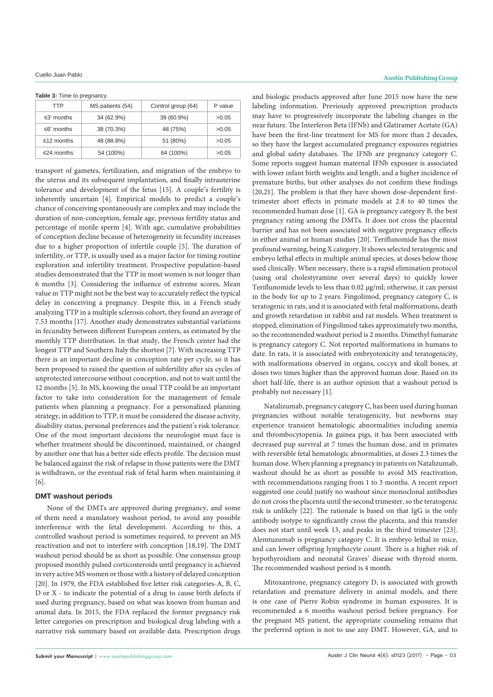**Table 3:** Time to pregnancy.

| TTP                   | MS patients (54) | Control group (64) | P value |
|-----------------------|------------------|--------------------|---------|
| $\leq 3^\circ$ months | 34 (62.9%)       | 39 (60.9%)         | >0.05   |
| $\leq 6^\circ$ months | 38 (70.3%)       | 48 (75%)           | >0.05   |
| $\leq$ 12 months      | 48 (88.8%)       | 51 (80%)           | >0.05   |
| $\leq$ 24 months      | 54 (100%)        | 64 (100%)          | >0.05   |

transport of gametes, fertilization, and migration of the embryo to the uterus and its subsequent implantation, and finally intrauterine tolerance and development of the fetus [15]. A couple's fertility is inherently uncertain [4]. Empirical models to predict a couple's chance of conceiving spontaneously are complex and may include the duration of non-conception, female age, previous fertility status and percentage of motile sperm [4]. With age, cumulative probabilities of conception decline because of heterogeneity in fecundity increases due to a higher proportion of infertile couple [5]. The duration of infertility, or TTP, is usually used as a major factor for timing routine exploration and infertility treatment. Prospective population-based studies demonstrated that the TTP in most women is not longer than 6 months [3]. Considering the influence of extreme scores, Mean value in TTP might not be the best way to accurately reflect the typical delay in conceiving a pregnancy. Despite this, in a French study analyzing TTP in a multiple sclerosis cohort, they found an average of 7.53 months [17]. Another study demonstrates substantial variations in fecundity between different European centers, as estimated by the monthly TTP distribution. In that study, the French center had the longest TTP and Southern Italy the shortest [7]. With increasing TTP there is an important decline in conception rate per cycle, so it has been proposed to raised the question of subfertility after six cycles of unprotected intercourse without conception, and not to wait until the 12 months [5]. In MS, knowing the usual TTP could be an important factor to take into consideration for the management of female patients when planning a pregnancy. For a personalized planning strategy, in addition to TTP, it must be considered the disease activity, disability status, personal preferences and the patient's risk tolerance. One of the most important decisions the neurologist must face is whether treatment should be discontinued, maintained, or changed by another one that has a better side effects profile. The decision must be balanced against the risk of relapse in those patients were the DMT is withdrawn, or the eventual risk of fetal harm when maintaining it [6].

#### **DMT washout periods**

None of the DMTs are approved during pregnancy, and some of them need a mandatory washout period, to avoid any possible interference with the fetal development. According to this, a controlled washout period is sometimes required, to prevent an MS reactivation and not to interfere with conception [18,19]. The DMT washout period should be as short as possible. One consensus group proposed monthly pulsed corticosteroids until pregnancy is achieved in very active MS women or those with a history of delayed conception [20]. In 1979, the FDA established five letter risk categories-A, B, C, D or X - to indicate the potential of a drug to cause birth defects if used during pregnancy, based on what was known from human and animal data. In 2015, the FDA replaced the former pregnancy risk letter categories on prescription and biological drug labeling with a narrative risk summary based on available data. Prescription drugs

and biologic products approved after June 2015 now have the new labeling information. Previously approved prescription products may have to progressively incorporate the labeling changes in the near future. The Interferon Beta (IFNb) and Glatiramer Acetate (GA) have been the first-line treatment for MS for more than 2 decades, so they have the largest accumulated pregnancy exposures registries and global safety databases. The IFNb are pregnancy category C. Some reports suggest human maternal IFNb exposure is associated with lower infant birth weights and length, and a higher incidence of premature births, but other analyses do not confirm these findings [20,21]. The problem is that they have shown dose-dependent firsttrimester abort effects in primate models at 2.8 to 40 times the recommended human dose [1]. GA is pregnancy category B, the best pregnancy rating among the DMTs. It does not cross the placental barrier and has not been associated with negative pregnancy effects in either animal or human studies [20]. Teriflunomide has the most profound warning, being X category. It shows selected teratogenic and embryo lethal effects in multiple animal species, at doses below those used clinically. When necessary, there is a rapid elimination protocol (using oral cholestyramine over several days) to quickly lower Teriflunomide levels to less than 0.02 µg/ml; otherwise, it can persist in the body for up to 2 years. Fingolimod, pregnancy category C, is teratogenic in rats, and it is associated with fetal malformations, death and growth retardation in rabbit and rat models. When treatment is stopped, elimination of Fingolimod takes approximately two months, so the recommended washout period is 2 months. Dimethyl fumarate is pregnancy category C. Not reported malformations in humans to date. In rats, it is associated with embryotoxicity and teratogenicity, with malformations observed in organs, coccyx and skull bones, at doses two times higher than the approved human dose. Based on its short half-life, there is an author opinion that a washout period is probably not necessary [1].

Natalizumab, pregnancy category C, has been used during human pregnancies without notable teratogenicity, but newborns may experience transient hematologic abnormalities including anemia and thrombocytopenia. In guinea pigs, it has been associated with decreased pup survival at 7 times the human dose, and in primates with reversible fetal hematologic abnormalities, at doses 2.3 times the human dose. When planning a pregnancy in patients on Natalizumab, washout should be as short as possible to avoid MS reactivation, with recommendations ranging from 1 to 3 months. A recent report suggested one could justify no washout since monoclonal antibodies do not cross the placenta until the second trimester, so the teratogenic risk is unlikely [22]. The rationale is based on that IgG is the only antibody isotype to significantly cross the placenta, and this transfer does not start until week 13, and peaks in the third trimester [23]. Alemtuzumab is pregnancy category C. It is embryo lethal in mice, and can lower offspring lymphocyte count. There is a higher risk of hypothyroidism and neonatal Graves' disease with thyroid storm. The recommended washout period is 4 month.

Mitoxantrone, pregnancy category D, is associated with growth retardation and premature delivery in animal models, and there is one case of Pierre Robin syndrome in human exposures. It is recommended a 6 months washout period before pregnancy. For the pregnant MS patient, the appropriate counseling remains that the preferred option is not to use any DMT. However, GA, and to